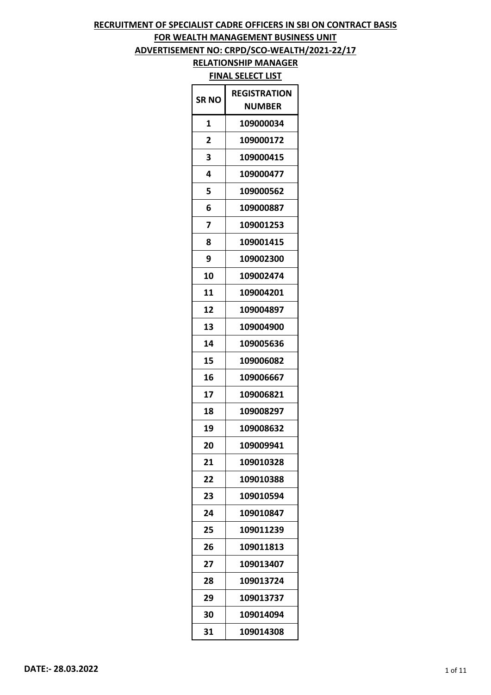## **FOR WEALTH MANAGEMENT BUSINESS UNIT**

**ADVERTISEMENT NO: CRPD/SCO-WEALTH/2021-22/17**

| <b>SR NO</b> | REGISTRATION |
|--------------|--------------|
|              | NUMBER       |
| 1            | 109000034    |
| 2            | 109000172    |
| 3            | 109000415    |
| 4            | 109000477    |
| 5            | 109000562    |
| 6            | 109000887    |
| 7            | 109001253    |
| 8            | 109001415    |
| 9            | 109002300    |
| 10           | 109002474    |
| 11           | 109004201    |
| 12           | 109004897    |
| 13           | 109004900    |
| 14           | 109005636    |
| 15           | 109006082    |
| 16           | 109006667    |
| 17           | 109006821    |
| 18           | 109008297    |
| 19           | 109008632    |
| 20           | 109009941    |
| 21           | 109010328    |
| 22           | 109010388    |
| 23           | 109010594    |
| 24           | 109010847    |
| 25           | 109011239    |
| 26           | 109011813    |
| 27           | 109013407    |
| 28           | 109013724    |
| 29           | 109013737    |
| 30           | 109014094    |
| 31           | 109014308    |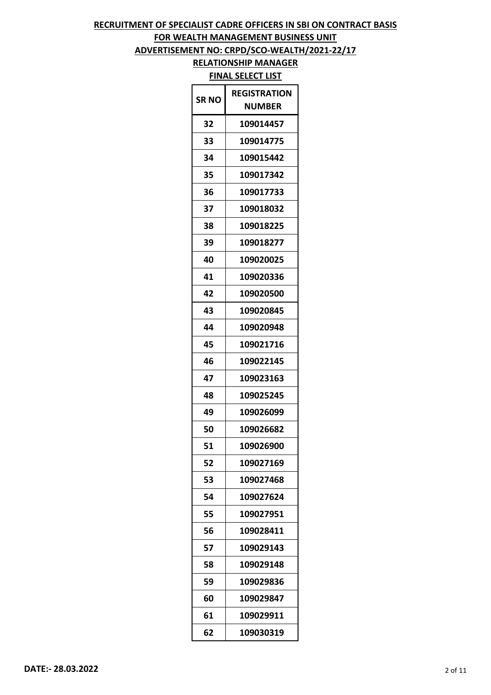# **FOR WEALTH MANAGEMENT BUSINESS UNIT**

**ADVERTISEMENT NO: CRPD/SCO-WEALTH/2021-22/17**

| <b>SRNO</b> | REGISTRATION<br>NUMBER |
|-------------|------------------------|
| 32          | 109014457              |
| 33          | 109014775              |
| 34          | 109015442              |
| 35          | 109017342              |
| 36          | 109017733              |
| 37          | 109018032              |
| 38          | 109018225              |
| 39          | 109018277              |
| 40          | 109020025              |
| 41          | 109020336              |
| 42          | 109020500              |
| 43          | 109020845              |
| 44          | 109020948              |
| 45          | 109021716              |
| 46          | 109022145              |
| 47          | 109023163              |
| 48          | 109025245              |
| 49          | 109026099              |
| 50          | 109026682              |
| 51          | 109026900              |
| 52          | 109027169              |
| 53          | 109027468              |
| 54          | 109027624              |
| 55          | 109027951              |
| 56          | 109028411              |
| 57          | 109029143              |
| 58          | 109029148              |
| 59          | 109029836              |
| 60          | 109029847              |
| 61          | 109029911              |
| 62          | 109030319              |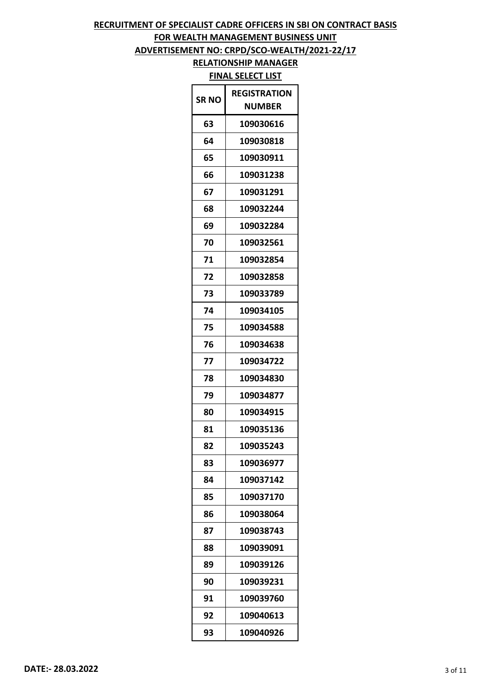# **FOR WEALTH MANAGEMENT BUSINESS UNIT**

**ADVERTISEMENT NO: CRPD/SCO-WEALTH/2021-22/17**

| SR NO | <b>REGISTRATION</b><br><b>NUMBER</b> |
|-------|--------------------------------------|
| 63    | 109030616                            |
| 64    | 109030818                            |
| 65    | 109030911                            |
| 66    | 109031238                            |
| 67    | 109031291                            |
| 68    | 109032244                            |
| 69    | 109032284                            |
| 70    | 109032561                            |
| 71    | 109032854                            |
| 72    | 109032858                            |
| 73    | 109033789                            |
| 74    | 109034105                            |
| 75    | 109034588                            |
| 76    | 109034638                            |
| 77    | 109034722                            |
| 78    | 109034830                            |
| 79    | 109034877                            |
| 80    | 109034915                            |
| 81    | 109035136                            |
| 82    | 109035243                            |
| 83    | 109036977                            |
| 84    | 109037142                            |
| 85    | 109037170                            |
| 86    | 109038064                            |
| 87    | 109038743                            |
| 88    | 109039091                            |
| 89    | 109039126                            |
| 90    | 109039231                            |
| 91    | 109039760                            |
| 92    | 109040613                            |
| 93    | 109040926                            |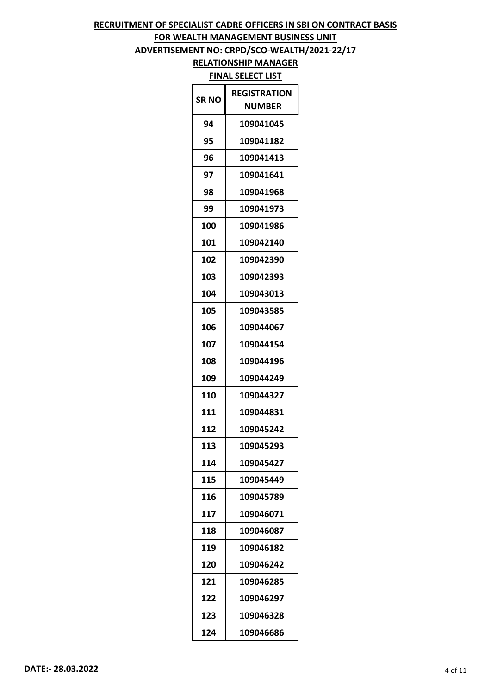# **FOR WEALTH MANAGEMENT BUSINESS UNIT**

## **ADVERTISEMENT NO: CRPD/SCO-WEALTH/2021-22/17**

| SR NO | RFGISTRATION<br><b>NUMBER</b> |
|-------|-------------------------------|
| 94    | 109041045                     |
| 95    | 109041182                     |
| 96    | 109041413                     |
| 97    | 109041641                     |
| 98    | 109041968                     |
| 99    | 109041973                     |
| 100   | 109041986                     |
| 101   | 109042140                     |
| 102   | 109042390                     |
| 103   | 109042393                     |
| 104   | 109043013                     |
| 105   | 109043585                     |
| 106   | 109044067                     |
| 107   | 109044154                     |
| 108   | 109044196                     |
| 109   | 109044249                     |
| 110   | 109044327                     |
| 111   | 109044831                     |
| 112   | 109045242                     |
| 113   | 109045293                     |
| 114   | 109045427                     |
| 115   | 109045449                     |
| 116   | 109045789                     |
| 117   | 109046071                     |
| 118   | 109046087                     |
| 119   | 109046182                     |
| 120   | 109046242                     |
| 121   | 109046285                     |
| 122   | 109046297                     |
| 123   | 109046328                     |
| 124   | 109046686                     |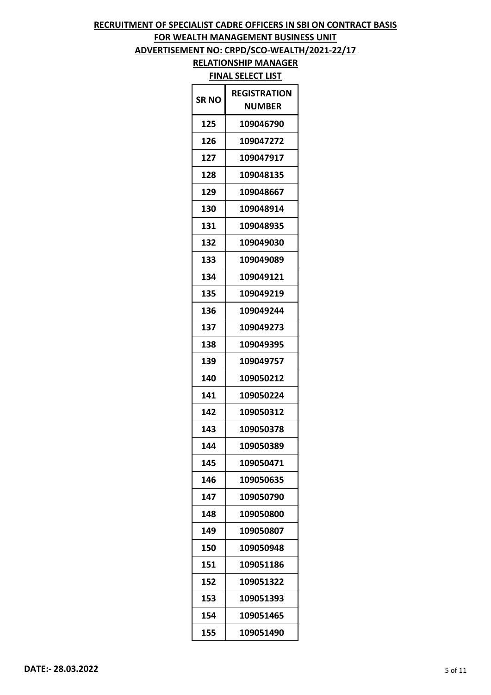## **FOR WEALTH MANAGEMENT BUSINESS UNIT**

**ADVERTISEMENT NO: CRPD/SCO-WEALTH/2021-22/17**

| SR NO | <b>REGISTRATION</b><br><b>NUMBER</b> |
|-------|--------------------------------------|
| 125   | 109046790                            |
| 126   | 109047272                            |
| 127   | 109047917                            |
| 128   | 109048135                            |
| 129   | 109048667                            |
| 130   | 109048914                            |
| 131   | 109048935                            |
| 132   | 109049030                            |
| 133   | 109049089                            |
| 134   | 109049121                            |
| 135   | 109049219                            |
| 136   | 109049244                            |
| 137   | 109049273                            |
| 138   | 109049395                            |
| 139   | 109049757                            |
| 140   | 109050212                            |
| 141   | 109050224                            |
| 142   | 109050312                            |
| 143   | 109050378                            |
| 144   | 109050389                            |
| 145   | 109050471                            |
| 146   | 109050635                            |
| 147   | 109050790                            |
| 148   | 109050800                            |
| 149   | 109050807                            |
| 150   | 109050948                            |
| 151   | 109051186                            |
| 152   | 109051322                            |
| 153   | 109051393                            |
| 154   | 109051465                            |
| 155   | 109051490                            |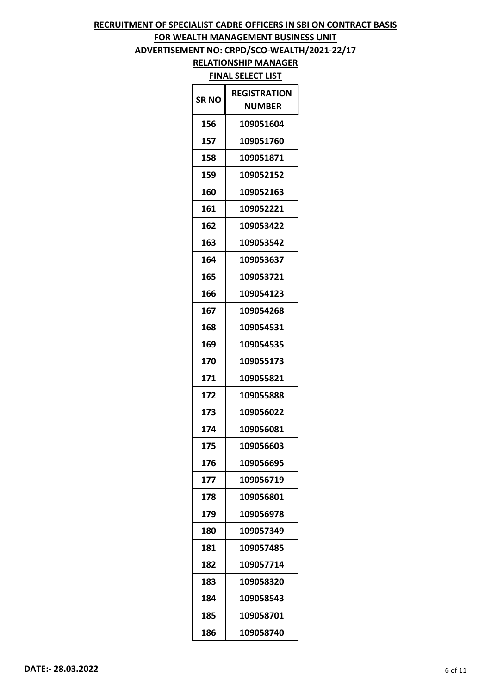# **FOR WEALTH MANAGEMENT BUSINESS UNIT**

**ADVERTISEMENT NO: CRPD/SCO-WEALTH/2021-22/17**

| <b>SR NO</b> | <b>REGISTRATION</b><br><b>NUMBER</b> |
|--------------|--------------------------------------|
| 156          | 109051604                            |
| 157          | 109051760                            |
| 158          | 109051871                            |
| 159          | 109052152                            |
| 160          | 109052163                            |
| 161          | 109052221                            |
| 162          | 109053422                            |
| 163          | 109053542                            |
| 164          | 109053637                            |
| 165          | 109053721                            |
| 166          | 109054123                            |
| 167          | 109054268                            |
| 168          | 109054531                            |
| 169          | 109054535                            |
| 170          | 109055173                            |
| 171          | 109055821                            |
| 172          | 109055888                            |
| 173          | 109056022                            |
| 174          | 109056081                            |
| 175          | 109056603                            |
| 176          | 109056695                            |
| 177          | 109056719                            |
| 178          | 109056801                            |
| 179          | 109056978                            |
| 180          | 109057349                            |
| 181          | 109057485                            |
| 182          | 109057714                            |
| 183          | 109058320                            |
| 184          | 109058543                            |
| 185          | 109058701                            |
| 186          | 109058740                            |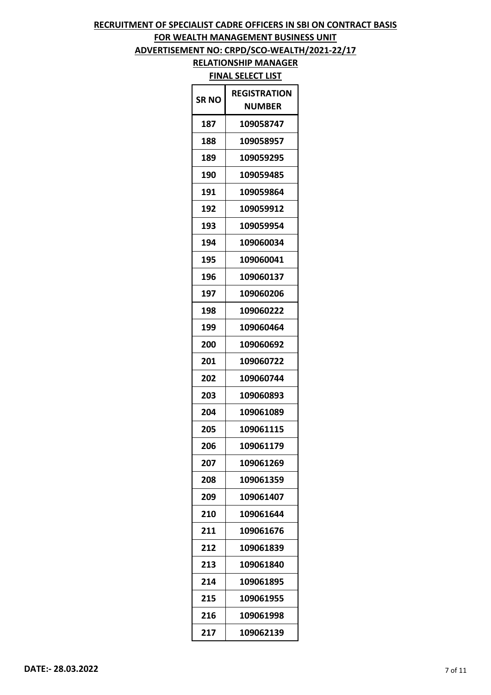# **FOR WEALTH MANAGEMENT BUSINESS UNIT**

**ADVERTISEMENT NO: CRPD/SCO-WEALTH/2021-22/17**

| <b>SRNO</b> | <b>REGISTRATION</b><br><b>NUMBER</b> |
|-------------|--------------------------------------|
| 187         | 109058747                            |
| 188         | 109058957                            |
| 189         | 109059295                            |
| 190         | 109059485                            |
| 191         | 109059864                            |
| 192         | 109059912                            |
| 193         | 109059954                            |
| 194         | 109060034                            |
| 195         | 109060041                            |
| 196         | 109060137                            |
| 197         | 109060206                            |
| 198         | 109060222                            |
| 199         | 109060464                            |
| 200         | 109060692                            |
| 201         | 109060722                            |
| 202         | 109060744                            |
| 203         | 109060893                            |
| 204         | 109061089                            |
| 205         | 109061115                            |
| 206         | 109061179                            |
| 207         | 109061269                            |
| 208         | 109061359                            |
| 209         | 109061407                            |
| 210         | 109061644                            |
| 211         | 109061676                            |
| 212         | 109061839                            |
| 213         | 109061840                            |
| 214         | 109061895                            |
| 215         | 109061955                            |
| 216         | 109061998                            |
| 217         | 109062139                            |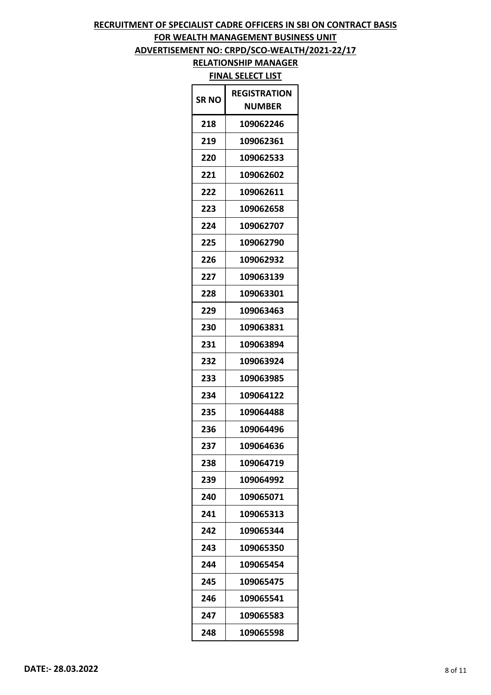# **FOR WEALTH MANAGEMENT BUSINESS UNIT**

**ADVERTISEMENT NO: CRPD/SCO-WEALTH/2021-22/17**

| SR NO | <b>REGISTRATION</b><br><b>NUMBER</b> |
|-------|--------------------------------------|
| 218   | 109062246                            |
| 219   | 109062361                            |
| 220   | 109062533                            |
| 221   | 109062602                            |
| 222   | 109062611                            |
| 223   | 109062658                            |
| 224   | 109062707                            |
| 225   | 109062790                            |
| 226   | 109062932                            |
| 227   | 109063139                            |
| 228   | 109063301                            |
| 229   | 109063463                            |
| 230   | 109063831                            |
| 231   | 109063894                            |
| 232   | 109063924                            |
| 233   | 109063985                            |
| 234   | 109064122                            |
| 235   | 109064488                            |
| 236   | 109064496                            |
| 237   | 109064636                            |
| 238   | 109064719                            |
| 239   | 109064992                            |
| 240   | 109065071                            |
| 241   | 109065313                            |
| 242   | 109065344                            |
| 243   | 109065350                            |
| 244   | 109065454                            |
| 245   | 109065475                            |
| 246   | 109065541                            |
| 247   | 109065583                            |
| 248   | 109065598                            |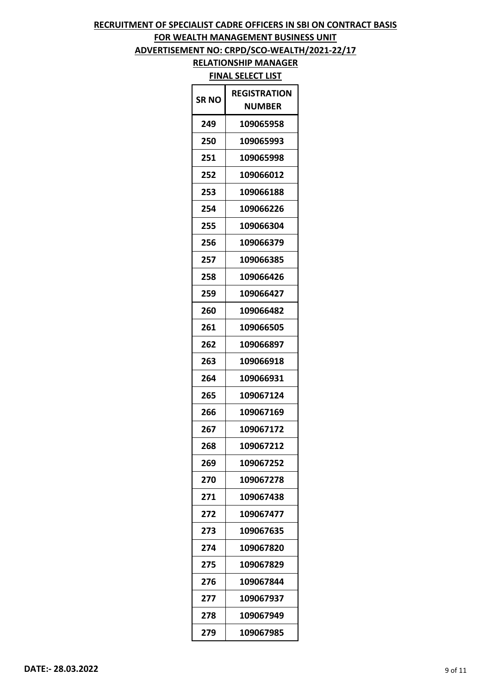# **FOR WEALTH MANAGEMENT BUSINESS UNIT**

## **ADVERTISEMENT NO: CRPD/SCO-WEALTH/2021-22/17**

| <b>SRNO</b> | <b>REGISTRATION</b><br>NUMBER |
|-------------|-------------------------------|
| 249         | 109065958                     |
| 250         | 109065993                     |
| 251         | 109065998                     |
| 252         | 109066012                     |
| 253         | 109066188                     |
| 254         | 109066226                     |
| 255         | 109066304                     |
| 256         | 109066379                     |
| 257         | 109066385                     |
| 258         | 109066426                     |
| 259         | 109066427                     |
| 260         | 109066482                     |
| 261         | 109066505                     |
| 262         | 109066897                     |
| 263         | 109066918                     |
| 264         | 109066931                     |
| 265         | 109067124                     |
| 266         | 109067169                     |
| 267         | 109067172                     |
| 268         | 109067212                     |
| 269         | 109067252                     |
| 270         | 109067278                     |
| 271         | 109067438                     |
| 272         | 109067477                     |
| 273         | 109067635                     |
| 274         | 109067820                     |
| 275         | 109067829                     |
| 276         | 109067844                     |
| 277         | 109067937                     |
| 278         | 109067949                     |
| 279         | 109067985                     |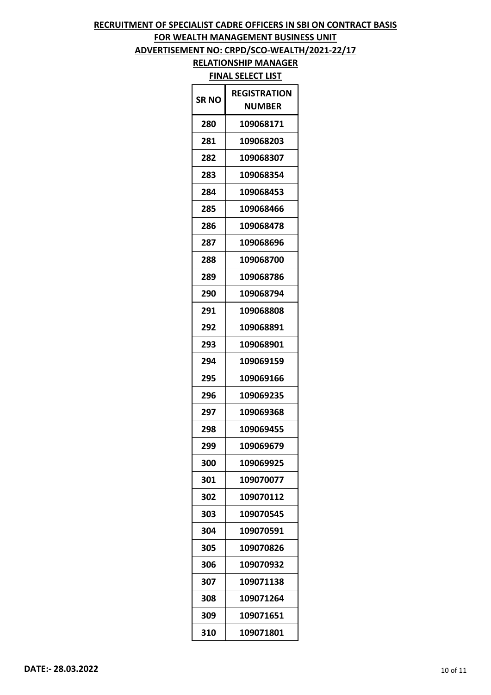# **FOR WEALTH MANAGEMENT BUSINESS UNIT**

**ADVERTISEMENT NO: CRPD/SCO-WEALTH/2021-22/17**

| SR NO | <b>REGISTRATION</b><br><b>NUMBER</b> |
|-------|--------------------------------------|
| 280   | 109068171                            |
| 281   | 109068203                            |
| 282   | 109068307                            |
| 283   | 109068354                            |
| 284   | 109068453                            |
| 285   | 109068466                            |
| 286   | 109068478                            |
| 287   | 109068696                            |
| 288   | 109068700                            |
| 289   | 109068786                            |
| 290   | 109068794                            |
| 291   | 109068808                            |
| 292   | 109068891                            |
| 293   | 109068901                            |
| 294   | 109069159                            |
| 295   | 109069166                            |
| 296   | 109069235                            |
| 297   | 109069368                            |
| 298   | 109069455                            |
| 299   | 109069679                            |
| 300   | 109069925                            |
| 301   | 109070077                            |
| 302   | 109070112                            |
| 303   | 109070545                            |
| 304   | 109070591                            |
| 305   | 109070826                            |
| 306   | 109070932                            |
| 307   | 109071138                            |
| 308   | 109071264                            |
| 309   | 109071651                            |
| 310   | 109071801                            |